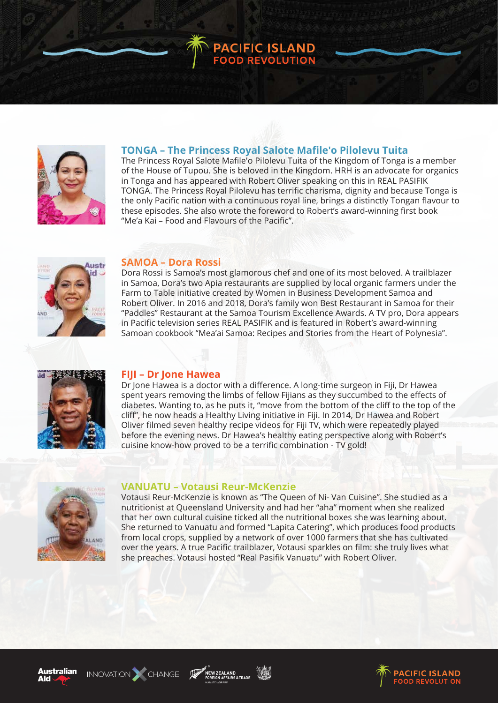

# **TONGA – The Princess Royal Salote Mafile'o Pilolevu Tuita**

**PACIFIC ISLAND<br>FOOD REVOLUTION** 

The Princess Royal Salote Mafile'o Pilolevu Tuita of the Kingdom of Tonga is a member of the House of Tupou. She is beloved in the Kingdom. HRH is an advocate for organics in Tonga and has appeared with Robert Oliver speaking on this in REAL PASIFIK TONGA. The Princess Royal Pilolevu has terrific charisma, dignity and because Tonga is the only Pacific nation with a continuous royal line, brings a distinctly Tongan flavour to these episodes. She also wrote the foreword to Robert's award-winning first book "Me'a Kai – Food and Flavours of the Pacific".



## **SAMOA – Dora Rossi**

Dora Rossi is Samoa's most glamorous chef and one of its most beloved. A trailblazer in Samoa, Dora's two Apia restaurants are supplied by local organic farmers under the Farm to Table initiative created by Women in Business Development Samoa and Robert Oliver. In 2016 and 2018, Dora's family won Best Restaurant in Samoa for their "Paddles" Restaurant at the Samoa Tourism Excellence Awards. A TV pro, Dora appears in Pacific television series REAL PASIFIK and is featured in Robert's award-winning Samoan cookbook "Mea'ai Samoa: Recipes and Stories from the Heart of Polynesia".



## **FIJI – Dr Jone Hawea**

Dr Jone Hawea is a doctor with a difference. A long-time surgeon in Fiji, Dr Hawea spent years removing the limbs of fellow Fijians as they succumbed to the effects of diabetes. Wanting to, as he puts it, "move from the bottom of the cliff to the top of the cliff", he now heads a Healthy Living initiative in Fiji. In 2014, Dr Hawea and Robert Oliver filmed seven healthy recipe videos for Fiji TV, which were repeatedly played before the evening news. Dr Hawea's healthy eating perspective along with Robert's cuisine know-how proved to be a terrific combination - TV gold!



#### **VANUATU – Votausi Reur-McKenzie**

Votausi Reur-McKenzie is known as "The Queen of Ni- Van Cuisine". She studied as a nutritionist at Queensland University and had her "aha" moment when she realized that her own cultural cuisine ticked all the nutritional boxes she was learning about. She returned to Vanuatu and formed "Lapita Catering", which produces food products from local crops, supplied by a network of over 1000 farmers that she has cultivated over the years. A true Pacific trailblazer, Votausi sparkles on film: she truly lives what she preaches. Votausi hosted "Real Pasifik Vanuatu" with Robert Oliver.